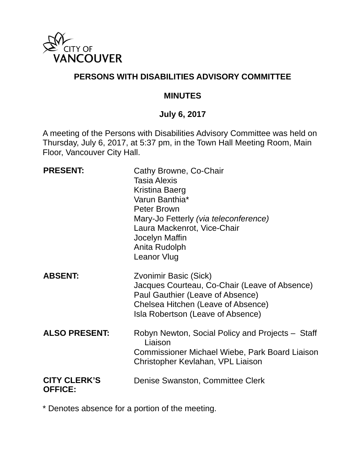

## **PERSONS WITH DISABILITIES ADVISORY COMMITTEE**

### **MINUTES**

### **July 6, 2017**

A meeting of the Persons with Disabilities Advisory Committee was held on Thursday, July 6, 2017, at 5:37 pm, in the Town Hall Meeting Room, Main Floor, Vancouver City Hall.

| <b>PRESENT:</b>                       | Cathy Browne, Co-Chair<br>Tasia Alexis<br>Kristina Baerg<br>Varun Banthia*<br><b>Peter Brown</b><br>Mary-Jo Fetterly (via teleconference)<br>Laura Mackenrot, Vice-Chair<br>Jocelyn Maffin<br>Anita Rudolph<br><b>Leanor Vlug</b> |
|---------------------------------------|-----------------------------------------------------------------------------------------------------------------------------------------------------------------------------------------------------------------------------------|
| <b>ABSENT:</b>                        | Zvonimir Basic (Sick)<br>Jacques Courteau, Co-Chair (Leave of Absence)<br>Paul Gauthier (Leave of Absence)<br>Chelsea Hitchen (Leave of Absence)<br>Isla Robertson (Leave of Absence)                                             |
| <b>ALSO PRESENT:</b>                  | Robyn Newton, Social Policy and Projects – Staff<br>Liaison<br>Commissioner Michael Wiebe, Park Board Liaison<br>Christopher Kevlahan, VPL Liaison                                                                                |
| <b>CITY CLERK'S</b><br><b>OFFICE:</b> | Denise Swanston, Committee Clerk                                                                                                                                                                                                  |

\* Denotes absence for a portion of the meeting.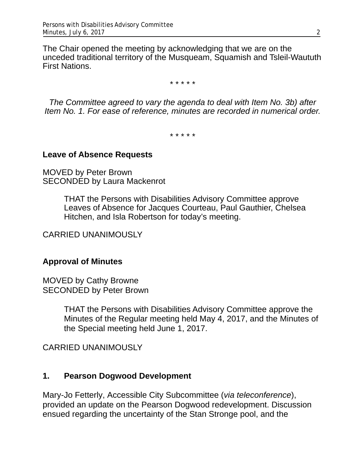The Chair opened the meeting by acknowledging that we are on the unceded traditional territory of the Musqueam, Squamish and Tsleil-Waututh First Nations.

\* \* \* \* \*

*The Committee agreed to vary the agenda to deal with Item No. 3b) after Item No. 1. For ease of reference, minutes are recorded in numerical order.* 

\* \* \* \* \*

#### **Leave of Absence Requests**

MOVED by Peter Brown SECONDED by Laura Mackenrot

> THAT the Persons with Disabilities Advisory Committee approve Leaves of Absence for Jacques Courteau, Paul Gauthier, Chelsea Hitchen, and Isla Robertson for today's meeting.

CARRIED UNANIMOUSLY

### **Approval of Minutes**

MOVED by Cathy Browne SECONDED by Peter Brown

> THAT the Persons with Disabilities Advisory Committee approve the Minutes of the Regular meeting held May 4, 2017, and the Minutes of the Special meeting held June 1, 2017.

CARRIED UNANIMOUSLY

### **1. Pearson Dogwood Development**

Mary-Jo Fetterly, Accessible City Subcommittee (*via teleconference*), provided an update on the Pearson Dogwood redevelopment. Discussion ensued regarding the uncertainty of the Stan Stronge pool, and the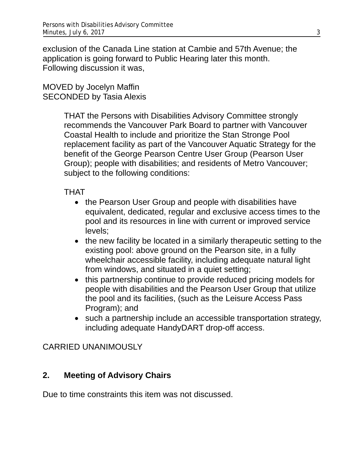exclusion of the Canada Line station at Cambie and 57th Avenue; the application is going forward to Public Hearing later this month. Following discussion it was,

### MOVED by Jocelyn Maffin SECONDED by Tasia Alexis

THAT the Persons with Disabilities Advisory Committee strongly recommends the Vancouver Park Board to partner with Vancouver Coastal Health to include and prioritize the Stan Stronge Pool replacement facility as part of the Vancouver Aquatic Strategy for the benefit of the George Pearson Centre User Group (Pearson User Group); people with disabilities; and residents of Metro Vancouver; subject to the following conditions:

## THAT

- the Pearson User Group and people with disabilities have equivalent, dedicated, regular and exclusive access times to the pool and its resources in line with current or improved service levels;
- the new facility be located in a similarly therapeutic setting to the existing pool: above ground on the Pearson site, in a fully wheelchair accessible facility, including adequate natural light from windows, and situated in a quiet setting;
- this partnership continue to provide reduced pricing models for people with disabilities and the Pearson User Group that utilize the pool and its facilities, (such as the Leisure Access Pass Program); and
- such a partnership include an accessible transportation strategy, including adequate HandyDART drop-off access.

## CARRIED UNANIMOUSLY

## **2. Meeting of Advisory Chairs**

Due to time constraints this item was not discussed.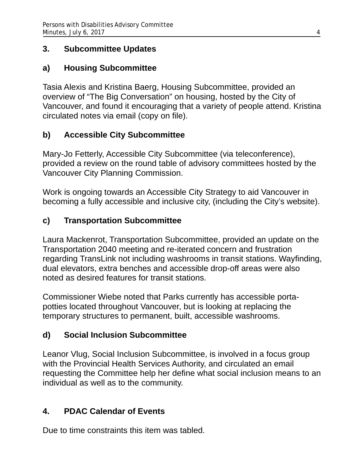## **3. Subcommittee Updates**

## **a) Housing Subcommittee**

Tasia Alexis and Kristina Baerg, Housing Subcommittee, provided an overview of "The Big Conversation" on housing, hosted by the City of Vancouver, and found it encouraging that a variety of people attend. Kristina circulated notes via email (copy on file).

# **b) Accessible City Subcommittee**

Mary-Jo Fetterly, Accessible City Subcommittee (via teleconference), provided a review on the round table of advisory committees hosted by the Vancouver City Planning Commission.

Work is ongoing towards an Accessible City Strategy to aid Vancouver in becoming a fully accessible and inclusive city, (including the City's website).

# **c) Transportation Subcommittee**

Laura Mackenrot, Transportation Subcommittee, provided an update on the Transportation 2040 meeting and re-iterated concern and frustration regarding TransLink not including washrooms in transit stations. Wayfinding, dual elevators, extra benches and accessible drop-off areas were also noted as desired features for transit stations.

Commissioner Wiebe noted that Parks currently has accessible portapotties located throughout Vancouver, but is looking at replacing the temporary structures to permanent, built, accessible washrooms.

# **d) Social Inclusion Subcommittee**

Leanor Vlug, Social Inclusion Subcommittee, is involved in a focus group with the Provincial Health Services Authority, and circulated an email requesting the Committee help her define what social inclusion means to an individual as well as to the community.

# **4. PDAC Calendar of Events**

Due to time constraints this item was tabled.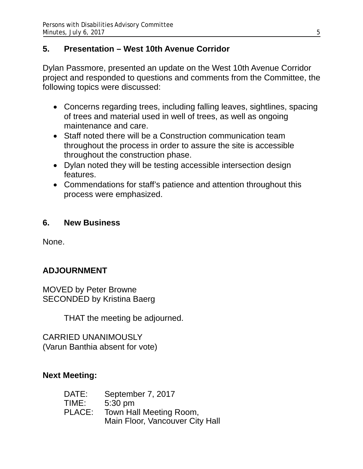## **5. Presentation – West 10th Avenue Corridor**

Dylan Passmore, presented an update on the West 10th Avenue Corridor project and responded to questions and comments from the Committee, the following topics were discussed:

- Concerns regarding trees, including falling leaves, sightlines, spacing of trees and material used in well of trees, as well as ongoing maintenance and care.
- Staff noted there will be a Construction communication team throughout the process in order to assure the site is accessible throughout the construction phase.
- Dylan noted they will be testing accessible intersection design features.
- Commendations for staff's patience and attention throughout this process were emphasized.

## **6. New Business**

None.

# **ADJOURNMENT**

MOVED by Peter Browne SECONDED by Kristina Baerg

THAT the meeting be adjourned.

CARRIED UNANIMOUSLY (Varun Banthia absent for vote)

## **Next Meeting:**

| DATE:  | September 7, 2017               |
|--------|---------------------------------|
| TIME:  | $5:30 \text{ pm}$               |
| PLACE: | Town Hall Meeting Room,         |
|        | Main Floor, Vancouver City Hall |